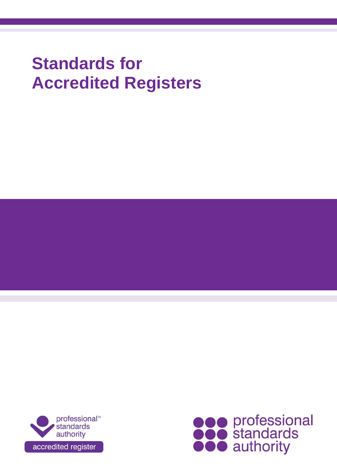# **Standards for Accredited Registers**



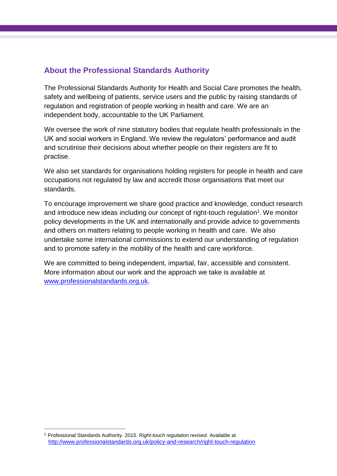## **About the Professional Standards Authority**

The Professional Standards Authority for Health and Social Care promotes the health, safety and wellbeing of patients, service users and the public by raising standards of regulation and registration of people working in health and care. We are an independent body, accountable to the UK Parliament.

We oversee the work of nine statutory bodies that regulate health professionals in the UK and social workers in England. We review the regulators' performance and audit and scrutinise their decisions about whether people on their registers are fit to practise.

We also set standards for organisations holding registers for people in health and care occupations not regulated by law and accredit those organisations that meet our standards.

To encourage improvement we share good practice and knowledge, conduct research and introduce new ideas including our concept of right-touch regulation<sup>1</sup>. We monitor policy developments in the UK and internationally and provide advice to governments and others on matters relating to people working in health and care. We also undertake some international commissions to extend our understanding of regulation and to promote safety in the mobility of the health and care workforce.

We are committed to being independent, impartial, fair, accessible and consistent. More information about our work and the approach we take is available at [www.professionalstandards.org.uk.](http://www.professionalstandards.org.uk/)

 $\overline{a}$ 

<sup>1</sup> Professional Standards Authority. 2015. *Right-touch regulation revised*. Available at <http://www.professionalstandards.org.uk/policy-and-research/right-touch-regulation>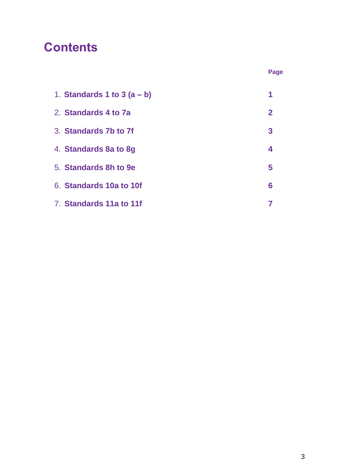# **Contents**

| 1. Standards 1 to 3 $(a - b)$ | 1            |
|-------------------------------|--------------|
| 2. Standards 4 to 7a          | $\mathbf{2}$ |
| 3. Standards 7b to 7f         | 3            |
| 4. Standards 8a to 8g         | 4            |
| 5. Standards 8h to 9e         | 5            |
| 6. Standards 10a to 10f       | 6            |
| 7. Standards 11a to 11f       |              |

**Page**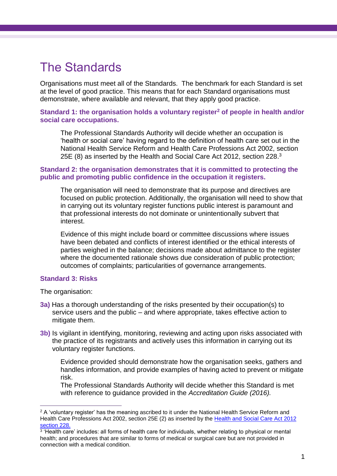# The Standards

Organisations must meet all of the Standards. The benchmark for each Standard is set at the level of good practice. This means that for each Standard organisations must demonstrate, where available and relevant, that they apply good practice.

#### **Standard 1: the organisation holds a voluntary register<sup>2</sup> of people in health and/or social care occupations.**

The Professional Standards Authority will decide whether an occupation is 'health or social care' having regard to the definition of health care set out in the National Health Service Reform and Health Care Professions Act 2002, section 25E (8) as inserted by the Health and Social Care Act 2012, section 228. $3$ 

#### **Standard 2: the organisation demonstrates that it is committed to protecting the public and promoting public confidence in the occupation it registers.**

The organisation will need to demonstrate that its purpose and directives are focused on public protection. Additionally, the organisation will need to show that in carrying out its voluntary register functions public interest is paramount and that professional interests do not dominate or unintentionally subvert that interest.

Evidence of this might include board or committee discussions where issues have been debated and conflicts of interest identified or the ethical interests of parties weighed in the balance; decisions made about admittance to the register where the documented rationale shows due consideration of public protection; outcomes of complaints; particularities of governance arrangements.

#### **Standard 3: Risks**

The organisation:

- **3a)** Has a thorough understanding of the risks presented by their occupation(s) to service users and the public – and where appropriate, takes effective action to mitigate them.
- **3b)** Is vigilant in identifying, monitoring, reviewing and acting upon risks associated with the practice of its registrants and actively uses this information in carrying out its voluntary register functions.

Evidence provided should demonstrate how the organisation seeks, gathers and handles information, and provide examples of having acted to prevent or mitigate risk.

The Professional Standards Authority will decide whether this Standard is met with reference to guidance provided in the *Accreditation Guide (2016).*

 $\overline{a}$ <sup>2</sup> A 'voluntary register' has the meaning ascribed to it under the National Health Service Reform and Health Care Professions Act 2002, section 25E (2) as inserted by the [Health and Social Care Act 2012](http://www.legislation.gov.uk/ukpga/2012/7/section/228/prospective)  [section 228.](http://www.legislation.gov.uk/ukpga/2012/7/section/228/prospective)

<sup>&</sup>lt;sup>3</sup> 'Health care' includes: all forms of health care for individuals, whether relating to physical or mental health; and procedures that are similar to forms of medical or surgical care but are not provided in connection with a medical condition.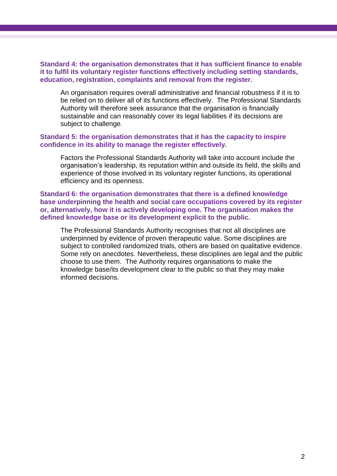#### **Standard 4: the organisation demonstrates that it has sufficient finance to enable it to fulfil its voluntary register functions effectively including setting standards, education, registration, complaints and removal from the register.**

An organisation requires overall administrative and financial robustness if it is to be relied on to deliver all of its functions effectively. The Professional Standards Authority will therefore seek assurance that the organisation is financially sustainable and can reasonably cover its legal liabilities if its decisions are subject to challenge.

#### **Standard 5: the organisation demonstrates that it has the capacity to inspire confidence in its ability to manage the register effectively.**

Factors the Professional Standards Authority will take into account include the organisation's leadership, its reputation within and outside its field, the skills and experience of those involved in its voluntary register functions, its operational efficiency and its openness.

**Standard 6: the organisation demonstrates that there is a defined knowledge base underpinning the health and social care occupations covered by its register or, alternatively, how it is actively developing one. The organisation makes the defined knowledge base or its development explicit to the public.**

The Professional Standards Authority recognises that not all disciplines are underpinned by evidence of proven therapeutic value. Some disciplines are subject to controlled randomized trials, others are based on qualitative evidence. Some rely on anecdotes. Nevertheless, these disciplines are legal and the public choose to use them. The Authority requires organisations to make the knowledge base/its development clear to the public so that they may make informed decisions.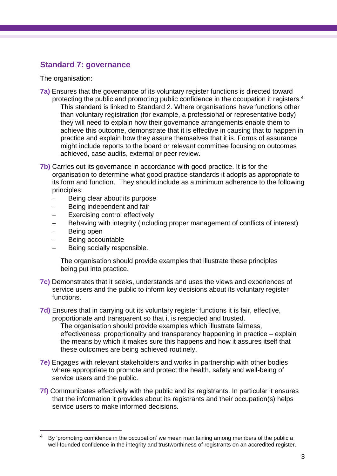### **Standard 7: governance**

The organisation:

- **7a)** Ensures that the governance of its voluntary register functions is directed toward protecting the public and promoting public confidence in the occupation it registers.<sup>4</sup>
	- This standard is linked to Standard 2. Where organisations have functions other than voluntary registration (for example, a professional or representative body) they will need to explain how their governance arrangements enable them to achieve this outcome, demonstrate that it is effective in causing that to happen in practice and explain how they assure themselves that it is. Forms of assurance might include reports to the board or relevant committee focusing on outcomes achieved, case audits, external or peer review.
- **7b)** Carries out its governance in accordance with good practice. It is for the organisation to determine what good practice standards it adopts as appropriate to its form and function. They should include as a minimum adherence to the following principles:
	- $-$  Being clear about its purpose
	- Being independent and fair
	- Exercising control effectively
	- Behaving with integrity (including proper management of conflicts of interest)
	- Being open

 $\overline{a}$ 

- Being accountable
- Being socially responsible.

The organisation should provide examples that illustrate these principles being put into practice.

- **7c)** Demonstrates that it seeks, understands and uses the views and experiences of service users and the public to inform key decisions about its voluntary register functions.
- **7d)** Ensures that in carrying out its voluntary register functions it is fair, effective, proportionate and transparent so that it is respected and trusted.

The organisation should provide examples which illustrate fairness, effectiveness, proportionality and transparency happening in practice – explain the means by which it makes sure this happens and how it assures itself that these outcomes are being achieved routinely.

- **7e)** Engages with relevant stakeholders and works in partnership with other bodies where appropriate to promote and protect the health, safety and well-being of service users and the public.
- **7f)** Communicates effectively with the public and its registrants. In particular it ensures that the information it provides about its registrants and their occupation(s) helps service users to make informed decisions.

By 'promoting confidence in the occupation' we mean maintaining among members of the public a well-founded confidence in the integrity and trustworthiness of registrants on an accredited register.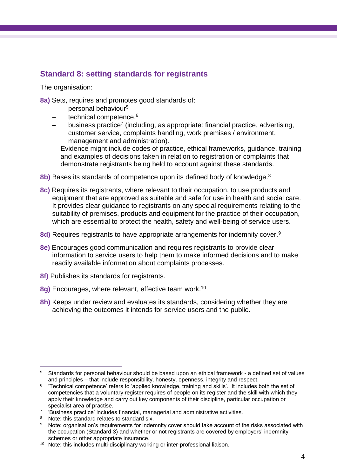# **Standard 8: setting standards for registrants**

The organisation:

- **8a)** Sets, requires and promotes good standards of:
	- personal behaviour<sup>5</sup>
	- technical competence,<sup>6</sup>
	- $-$  business practice<sup>7</sup> (including, as appropriate: financial practice, advertising, customer service, complaints handling, work premises / environment, management and administration).

Evidence might include codes of practice, ethical frameworks, guidance, training and examples of decisions taken in relation to registration or complaints that demonstrate registrants being held to account against these standards.

- **8b)** Bases its standards of competence upon its defined body of knowledge.<sup>8</sup>
- **8c)** Requires its registrants, where relevant to their occupation, to use products and equipment that are approved as suitable and safe for use in health and social care. It provides clear guidance to registrants on any special requirements relating to the suitability of premises, products and equipment for the practice of their occupation, which are essential to protect the health, safety and well-being of service users.
- 8d) Requires registrants to have appropriate arrangements for indemnity cover.<sup>9</sup>
- **8e)** Encourages good communication and requires registrants to provide clear information to service users to help them to make informed decisions and to make readily available information about complaints processes.
- **8f)** Publishes its standards for registrants.
- **8g)** Encourages, where relevant, effective team work. 10
- **8h)** Keeps under review and evaluates its standards, considering whether they are achieving the outcomes it intends for service users and the public.

 $\overline{a}$ 

<sup>5</sup> Standards for personal behaviour should be based upon an ethical framework - a defined set of values and principles – that include responsibility, honesty, openness, integrity and respect.

<sup>6</sup> 'Technical competence' refers to 'applied knowledge, training and skills'. It includes both the set of competencies that a voluntary register requires of people on its register and the skill with which they apply their knowledge and carry out key components of their discipline, particular occupation or specialist area of practise.

<sup>&</sup>lt;sup>7</sup> 'Business practice' includes financial, managerial and administrative activities.

<sup>&</sup>lt;sup>8</sup> Note: this standard relates to standard six.<br><sup>9</sup> Note: organisation's requirements for index

Note: organisation's requirements for indemnity cover should take account of the risks associated with the occupation (Standard 3) and whether or not registrants are covered by employers' indemnity schemes or other appropriate insurance.

<sup>&</sup>lt;sup>10</sup> Note: this includes multi-disciplinary working or inter-professional liaison.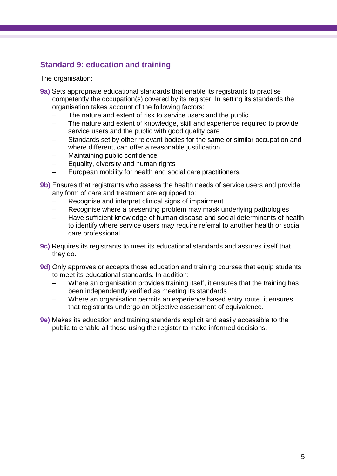# **Standard 9: education and training**

The organisation:

- **9a)** Sets appropriate educational standards that enable its registrants to practise competently the occupation(s) covered by its register. In setting its standards the organisation takes account of the following factors:
	- The nature and extent of risk to service users and the public
	- The nature and extent of knowledge, skill and experience required to provide service users and the public with good quality care
	- Standards set by other relevant bodies for the same or similar occupation and where different, can offer a reasonable justification
	- Maintaining public confidence
	- Equality, diversity and human rights
	- European mobility for health and social care practitioners.
- **9b)** Ensures that registrants who assess the health needs of service users and provide any form of care and treatment are equipped to:
	- Recognise and interpret clinical signs of impairment
	- Recognise where a presenting problem may mask underlying pathologies
	- Have sufficient knowledge of human disease and social determinants of health to identify where service users may require referral to another health or social care professional.
- **9c)** Requires its registrants to meet its educational standards and assures itself that they do.
- **9d)** Only approves or accepts those education and training courses that equip students to meet its educational standards. In addition:
	- Where an organisation provides training itself, it ensures that the training has been independently verified as meeting its standards
	- Where an organisation permits an experience based entry route, it ensures that registrants undergo an objective assessment of equivalence.
- **9e)** Makes its education and training standards explicit and easily accessible to the public to enable all those using the register to make informed decisions.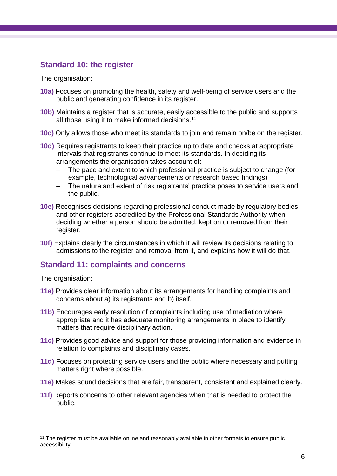### **Standard 10: the register**

The organisation:

- **10a)** Focuses on promoting the health, safety and well-being of service users and the public and generating confidence in its register.
- **10b)** Maintains a register that is accurate, easily accessible to the public and supports all those using it to make informed decisions.<sup>11</sup>
- **10c)** Only allows those who meet its standards to join and remain on/be on the register.
- **10d)** Requires registrants to keep their practice up to date and checks at appropriate intervals that registrants continue to meet its standards. In deciding its arrangements the organisation takes account of:
	- The pace and extent to which professional practice is subject to change (for example, technological advancements or research based findings)
	- The nature and extent of risk registrants' practice poses to service users and the public.
- **10e)** Recognises decisions regarding professional conduct made by regulatory bodies and other registers accredited by the Professional Standards Authority when deciding whether a person should be admitted, kept on or removed from their register.
- **10f)** Explains clearly the circumstances in which it will review its decisions relating to admissions to the register and removal from it, and explains how it will do that.

### **Standard 11: complaints and concerns**

The organisation:

 $\overline{a}$ 

- **11a)** Provides clear information about its arrangements for handling complaints and concerns about a) its registrants and b) itself.
- **11b)** Encourages early resolution of complaints including use of mediation where appropriate and it has adequate monitoring arrangements in place to identify matters that require disciplinary action.
- **11c)** Provides good advice and support for those providing information and evidence in relation to complaints and disciplinary cases.
- **11d)** Focuses on protecting service users and the public where necessary and putting matters right where possible.
- **11e)** Makes sound decisions that are fair, transparent, consistent and explained clearly.
- **11f)** Reports concerns to other relevant agencies when that is needed to protect the public.

<sup>&</sup>lt;sup>11</sup> The register must be available online and reasonably available in other formats to ensure public accessibility.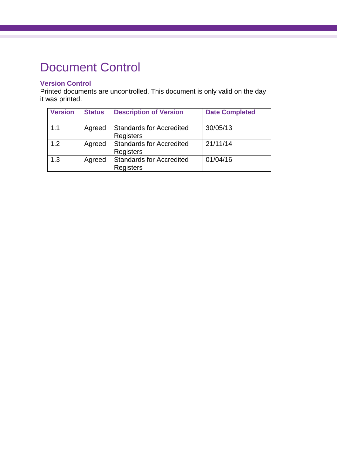# Document Control

#### **Version Control**

Printed documents are uncontrolled. This document is only valid on the day it was printed.

| <b>Version</b> | <b>Status</b> | <b>Description of Version</b>                       | <b>Date Completed</b> |
|----------------|---------------|-----------------------------------------------------|-----------------------|
| 1.1            | Agreed        | <b>Standards for Accredited</b><br>Registers        | 30/05/13              |
| 1.2            | Agreed        | <b>Standards for Accredited</b><br>Registers        | 21/11/14              |
| 1.3            | Agreed        | <b>Standards for Accredited</b><br><b>Registers</b> | 01/04/16              |